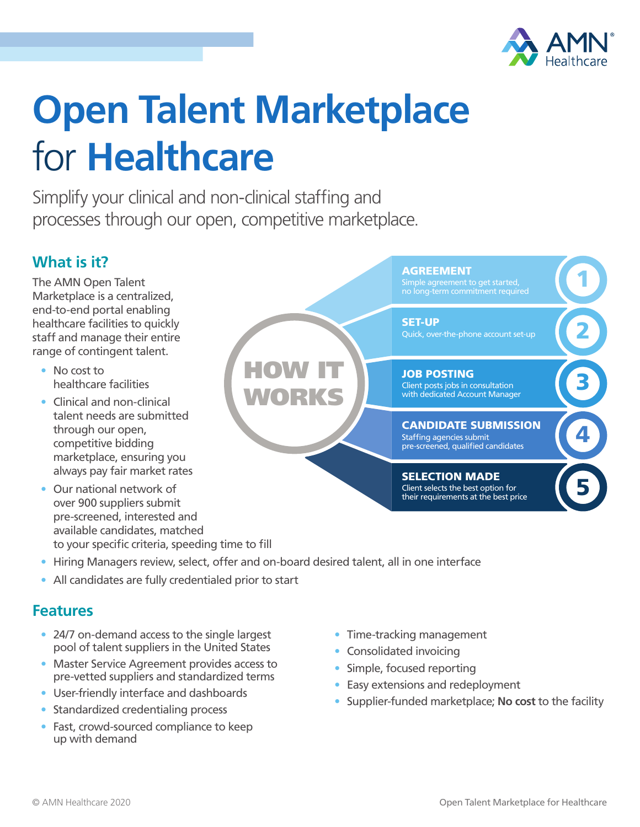

# **Open Talent Marketplace**  for **Healthcare**

Simplify your clinical and non-clinical staffing and processes through our open, competitive marketplace.

### **What is it?**

The AMN Open Talent Marketplace is a centralized, end-to-end portal enabling healthcare facilities to quickly staff and manage their entire range of contingent talent.

- No cost to healthcare facilities
- Clinical and non-clinical talent needs are submitted through our open, competitive bidding marketplace, ensuring you always pay fair market rates
- Our national network of over 900 suppliers submit pre-screened, interested and available candidates, matched to your specific criteria, speeding time to fill
- **AGREEMENT** HOW IT WORKS 1 2 **3** 4 5 Simple agreement to get started, no long-term commitment required SET-UP Quick, over-the-phone account set-up JOB POSTING Client posts jobs in consultation with dedicated Account Manager CANDIDATE SUBMISSION Staffing agencies submit pre-screened, qualified candidates SELECTION MADE Client selects the best option for their requirements at the best price
- Hiring Managers review, select, offer and on-board desired talent, all in one interface
- All candidates are fully credentialed prior to start

#### **Features**

- 24/7 on-demand access to the single largest pool of talent suppliers in the United States
- Master Service Agreement provides access to pre-vetted suppliers and standardized terms
- User-friendly interface and dashboards
- Standardized credentialing process
- Fast, crowd-sourced compliance to keep up with demand
- Time-tracking management
- Consolidated invoicing
- Simple, focused reporting
- Easy extensions and redeployment
- Supplier-funded marketplace; **No cost** to the facility